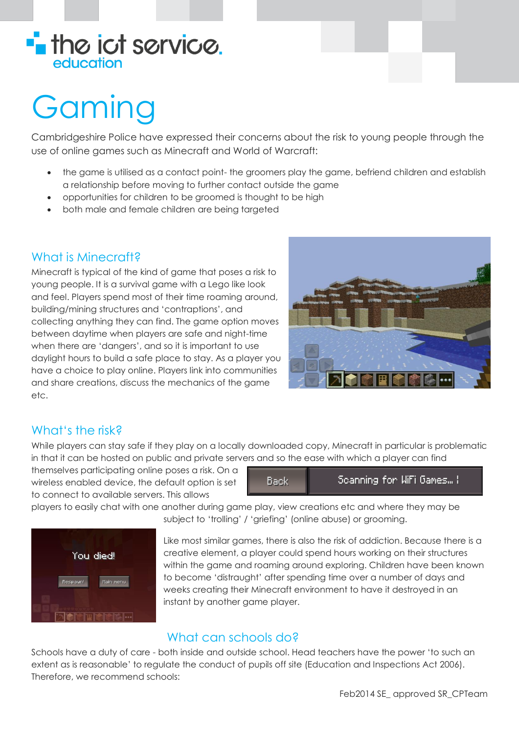

# Gaming

Cambridgeshire Police have expressed their concerns about the risk to young people through the use of online games such as Minecraft and World of Warcraft:

- the game is utilised as a contact point- the groomers play the game, befriend children and establish a relationship before moving to further contact outside the game
- opportunities for children to be groomed is thought to be high
- both male and female children are being targeted

### What is Minecraft?

Minecraft is typical of the kind of game that poses a risk to young people. It is a survival game with a Lego like look and feel. Players spend most of their time roaming around, building/mining structures and 'contraptions', and collecting anything they can find. The game option moves between daytime when players are safe and night-time when there are 'dangers', and so it is important to use daylight hours to build a safe place to stay. As a player you have a choice to play online. Players link into communities and share creations, discuss the mechanics of the game etc.



## What's the risk?

While players can stay safe if they play on a locally downloaded copy, Minecraft in particular is problematic in that it can be hosted on public and private servers and so the ease with which a player can find

themselves participating online poses a risk. On a wireless enabled device, the default option is set to connect to available servers. This allows



players to easily chat with one another during game play, view creations etc and where they may be



subject to 'trolling' / 'griefing' (online abuse) or grooming.

Like most similar games, there is also the risk of addiction. Because there is a creative element, a player could spend hours working on their structures within the game and roaming around exploring. Children have been known to become 'distraught' after spending time over a number of days and weeks creating their Minecraft environment to have it destroyed in an instant by another game player.

#### What can schools do?

Schools have a duty of care - both inside and outside school. Head teachers have the power 'to such an extent as is reasonable' to regulate the conduct of pupils off site (Education and Inspections Act 2006). Therefore, we recommend schools: